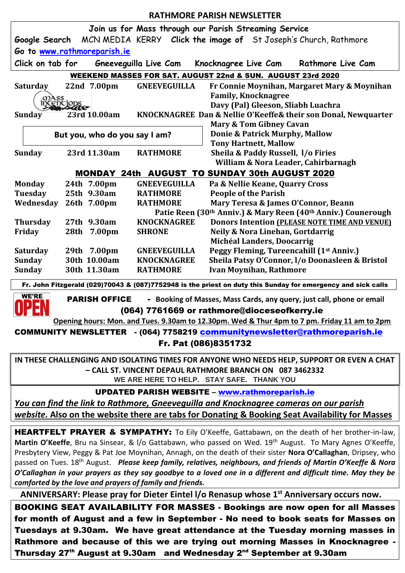| <b>RATHMORE PARISH NEWSLETTER</b>                                                                                                                                         |                                                               |                                       |                                                                                      |
|---------------------------------------------------------------------------------------------------------------------------------------------------------------------------|---------------------------------------------------------------|---------------------------------------|--------------------------------------------------------------------------------------|
|                                                                                                                                                                           |                                                               |                                       | Join us for Mass through our Parish Streaming Service                                |
|                                                                                                                                                                           |                                                               |                                       | <b>Google Search</b> MCN MEDIA KERRY Click the image of St Joseph's Church, Rathmore |
| Go to www.rathmoreparish.ie                                                                                                                                               |                                                               |                                       |                                                                                      |
| Click on tab for<br>Gneeveguilla Live Cam<br>Rathmore Live Cam<br>Knocknagree Live Cam                                                                                    |                                                               |                                       |                                                                                      |
| WEEKEND MASSES FOR SAT. AUGUST 22nd & SUN. AUGUST 23rd 2020                                                                                                               |                                                               |                                       |                                                                                      |
| Saturday                                                                                                                                                                  | 22nd 7.00pm                                                   | <b>GNEEVEGUILLA</b>                   | Fr Connie Moynihan, Margaret Mary & Moynihan                                         |
|                                                                                                                                                                           |                                                               |                                       | <b>Family, Knocknagree</b>                                                           |
|                                                                                                                                                                           | Delc                                                          |                                       | Davy (Pal) Gleeson, Sliabh Luachra                                                   |
| <b>Sunday</b>                                                                                                                                                             | 23rd 10.00am                                                  |                                       | KNOCKNAGREE Dan & Nellie O'Keeffe& their son Donal, Newquarter                       |
| <b>Mary &amp; Tom Gibney Cavan</b>                                                                                                                                        |                                                               |                                       |                                                                                      |
| But you, who do you say I am?                                                                                                                                             |                                                               |                                       | <b>Donie &amp; Patrick Murphy, Mallow</b><br><b>Tony Hartnett, Mallow</b>            |
| <b>Sunday</b>                                                                                                                                                             | 23rd 11.30am                                                  | <b>RATHMORE</b>                       | Sheila & Paddy Russell, I/o Firies                                                   |
|                                                                                                                                                                           |                                                               |                                       | William & Nora Leader, Cahirbarnagh                                                  |
| <b>MONDAY 24th AUGUST TO SUNDAY 30th AUGUST 2020</b>                                                                                                                      |                                                               |                                       |                                                                                      |
| <b>Monday</b>                                                                                                                                                             | 24th 7.00pm                                                   | <b>GNEEVEGUILLA</b>                   | Pa & Nellie Keane, Quarry Cross                                                      |
| <b>Tuesday</b>                                                                                                                                                            | 25th 9.30am                                                   | <b>RATHMORE</b>                       | <b>People of the Parish</b>                                                          |
| Wednesday                                                                                                                                                                 | 26th 7.00pm                                                   | <b>RATHMORE</b>                       | Mary Teresa & James O'Connor, Beann                                                  |
|                                                                                                                                                                           | Patie Reen (30th Anniv.) & Mary Reen (40th Anniv.) Counerough |                                       |                                                                                      |
| <b>Thursday</b>                                                                                                                                                           | 27th 9.30am                                                   | <b>KNOCKNAGREE</b>                    | Donors Intention (PLEASE NOTE TIME AND VENUE)                                        |
| Friday                                                                                                                                                                    | 28th 7.00pm                                                   | <b>SHRONE</b>                         | Neily & Nora Linehan, Gortdarrig                                                     |
|                                                                                                                                                                           |                                                               |                                       | Michéal Landers, Doocarrig                                                           |
| <b>Saturday</b>                                                                                                                                                           | 29th 7.00pm                                                   | <b>GNEEVEGUILLA</b>                   | Peggy Fleming, Tureencahill (1st Anniv.)                                             |
| <b>Sunday</b><br><b>Sunday</b>                                                                                                                                            | 30th 10.00am<br>30th 11.30am                                  | <b>KNOCKNAGREE</b><br><b>RATHMORE</b> | Sheila Patsy O'Connor, I/o Doonasleen & Bristol<br><b>Ivan Moynihan, Rathmore</b>    |
|                                                                                                                                                                           |                                                               |                                       |                                                                                      |
| Fr. John Fitzgerald (029)70043 & (087)7752948 is the priest on duty this Sunday for emergency and sick calls<br><b>WE'RE</b>                                              |                                                               |                                       |                                                                                      |
| <b>PARISH OFFICE</b><br>- Booking of Masses, Mass Cards, any query, just call, phone or email<br>(064) 7761669 or rathmore@dioceseofkerry.ie                              |                                                               |                                       |                                                                                      |
|                                                                                                                                                                           |                                                               |                                       |                                                                                      |
| COMMUNITY NEWSLETTER - (064) 7758219 communitynewsletter@rathmoreparish.ie                                                                                                |                                                               |                                       |                                                                                      |
| Fr. Pat (086)8351732                                                                                                                                                      |                                                               |                                       |                                                                                      |
| IN THESE CHALLENGING AND ISOLATING TIMES FOR ANYONE WHO NEEDS HELP, SUPPORT OR EVEN A CHAT                                                                                |                                                               |                                       |                                                                                      |
| - CALL ST. VINCENT DEPAUL RATHMORE BRANCH ON 087 3462332                                                                                                                  |                                                               |                                       |                                                                                      |
| WE ARE HERE TO HELP. STAY SAFE. THANK YOU                                                                                                                                 |                                                               |                                       |                                                                                      |
| <b>UPDATED PARISH WEBSITE - www.rathmoreparish.ie</b>                                                                                                                     |                                                               |                                       |                                                                                      |
| You can find the link to Rathmore, Gneeveguilla and Knocknagree cameras on our parish                                                                                     |                                                               |                                       |                                                                                      |
| website. Also on the website there are tabs for Donating & Booking Seat Availability for Masses                                                                           |                                                               |                                       |                                                                                      |
|                                                                                                                                                                           |                                                               |                                       |                                                                                      |
| <b>HEARTFELT PRAYER &amp; SYMPATHY:</b> To Eily O'Keeffe, Gattabawn, on the death of her brother-in-law,                                                                  |                                                               |                                       |                                                                                      |
| Martin O'Keeffe, Bru na Sinsear, & I/o Gattabawn, who passed on Wed. 19th August. To Mary Agnes O'Keeffe,                                                                 |                                                               |                                       |                                                                                      |
| Presbytery View, Peggy & Pat Joe Moynihan, Annagh, on the death of their sister Nora O'Callaghan, Dripsey, who                                                            |                                                               |                                       |                                                                                      |
| passed on Tues. 18 <sup>th</sup> August. Please keep family, relatives, neighbours, and friends of Martin O'Keeffe & Nora                                                 |                                                               |                                       |                                                                                      |
| O'Callaghan in your prayers as they say goodbye to a loved one in a different and difficult time. May they be<br>comforted by the love and prayers of family and friends. |                                                               |                                       |                                                                                      |
| ANNIVERSARY: Please pray for Dieter Eintel I/o Renasup whose 1 <sup>st</sup> Anniversary occurs now.                                                                      |                                                               |                                       |                                                                                      |
|                                                                                                                                                                           |                                                               |                                       |                                                                                      |
| <b>BOOKING SEAT AVAILABILITY FOR MASSES - Bookings are now open for all Masses</b>                                                                                        |                                                               |                                       |                                                                                      |
| for month of August and a few in September - No need to book seats for Masses on                                                                                          |                                                               |                                       |                                                                                      |
| Tuesdays at 9.30am. We have great attendance at the Tuesday morning masses in                                                                                             |                                                               |                                       |                                                                                      |

Rathmore and because of this we are trying out morning Masses in Knocknagree -Thursday 27<sup>th</sup> August at 9.30am and Wednesday 2<sup>nd</sup> September at 9.30am